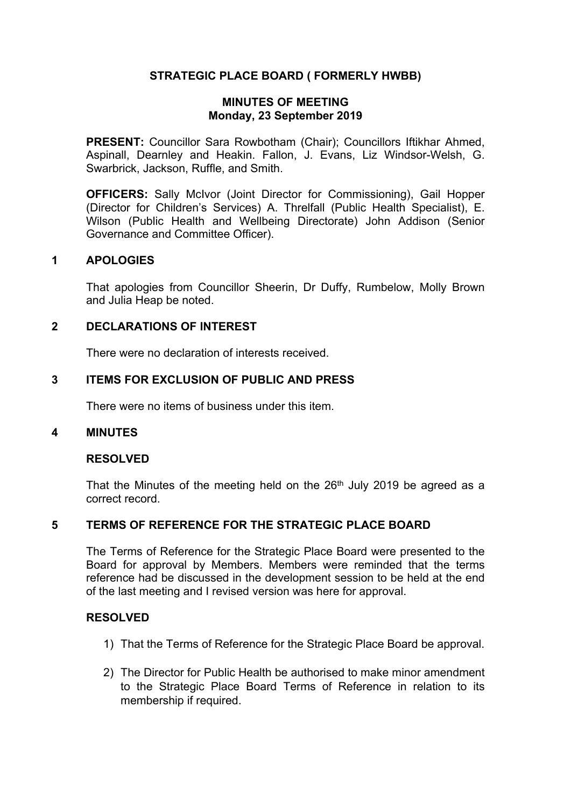# **STRATEGIC PLACE BOARD ( FORMERLY HWBB)**

#### **MINUTES OF MEETING Monday, 23 September 2019**

**PRESENT:** Councillor Sara Rowbotham (Chair); Councillors Iftikhar Ahmed, Aspinall, Dearnley and Heakin. Fallon, J. Evans, Liz Windsor-Welsh, G. Swarbrick, Jackson, Ruffle, and Smith.

**OFFICERS:** Sally McIvor (Joint Director for Commissioning), Gail Hopper (Director for Children's Services) A. Threlfall (Public Health Specialist), E. Wilson (Public Health and Wellbeing Directorate) John Addison (Senior Governance and Committee Officer).

## **1 APOLOGIES**

That apologies from Councillor Sheerin, Dr Duffy, Rumbelow, Molly Brown and Julia Heap be noted.

### **2 DECLARATIONS OF INTEREST**

There were no declaration of interests received.

### **3 ITEMS FOR EXCLUSION OF PUBLIC AND PRESS**

There were no items of business under this item.

#### **4 MINUTES**

#### **RESOLVED**

That the Minutes of the meeting held on the  $26<sup>th</sup>$  July 2019 be agreed as a correct record.

## **5 TERMS OF REFERENCE FOR THE STRATEGIC PLACE BOARD**

The Terms of Reference for the Strategic Place Board were presented to the Board for approval by Members. Members were reminded that the terms reference had be discussed in the development session to be held at the end of the last meeting and I revised version was here for approval.

## **RESOLVED**

- 1) That the Terms of Reference for the Strategic Place Board be approval.
- 2) The Director for Public Health be authorised to make minor amendment to the Strategic Place Board Terms of Reference in relation to its membership if required.